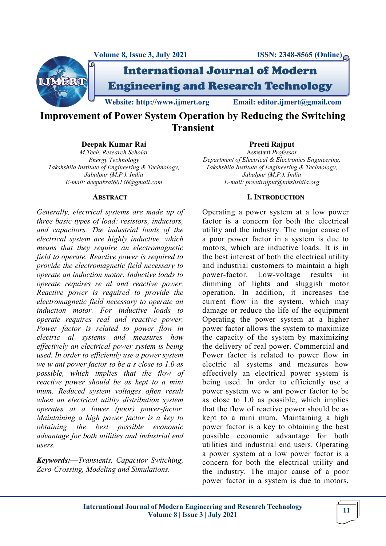



International Journal of Modern Engineering and Research Technology

**Website: http://www.ijmert.org Email: editor.ijmert@gmail.com**

**Improvement of Power System Operation by Reducing the Switching Transient** 

### **Deepak Kumar Rai**

*M.Tech. Research Scholar Energy Technology Takshshila Institute of Engineering & Technology, Jabalpur (M.P.), India E-mail: deepakrai60136@gmail.com*

#### **ABSTRACT**

*Generally, electrical systems are made up of three basic types of load: resistors, inductors, and capacitors. The industrial loads of the electrical system are highly inductive, which means that they require an electromagnetic field to operate. Reactive power is required to provide the electromagnetic field necessary to operate an induction motor. Inductive loads to operate requires re al and reactive power. Reactive power is required to provide the electromagnetic field necessary to operate an induction motor. For inductive loads to operate requires real and reactive power. Power factor is related to power flow in electric al systems and measures how effectively an electrical power system is being used. In order to efficiently use a power system we w ant power factor to be a s close to 1.0 as possible, which implies that the flow of reactive power should be as kept to a mini mum. Reduced system voltages often result when an electrical utility distribution system operates at a lower (poor) power-factor. Maintaining a high power factor is a key to obtaining the best possible economic advantage for both utilities and industrial end users.* 

*Keywords:—Transients, Capacitor Switching, Zero-Crossing, Modeling and Simulations.*

# **Preeti Rajput**

Assistant *Professor Department of Electrical & Electronics Engineering, Takshshila Institute of Engineering & Technology, Jabalpur (M.P.), India E-mail: preetirajput@takshshila.org*

#### **I. INTRODUCTION**

Operating a power system at a low power factor is a concern for both the electrical utility and the industry. The major cause of a poor power factor in a system is due to motors, which are inductive loads. It is in the best interest of both the electrical utility and industrial customers to maintain a high power-factor. Low-voltage results in dimming of lights and sluggish motor operation. In addition, it increases the current flow in the system, which may damage or reduce the life of the equipment Operating the power system at a higher power factor allows the system to maximize the capacity of the system by maximizing the delivery of real power. Commercial and Power factor is related to power flow in electric al systems and measures how effectively an electrical power system is being used. In order to efficiently use a power system we w ant power factor to be as close to 1.0 as possible, which implies that the flow of reactive power should be as kept to a mini mum. Maintaining a high power factor is a key to obtaining the best possible economic advantage for both utilities and industrial end users. Operating a power system at a low power factor is a concern for both the electrical utility and the industry. The major cause of a poor power factor in a system is due to motors,

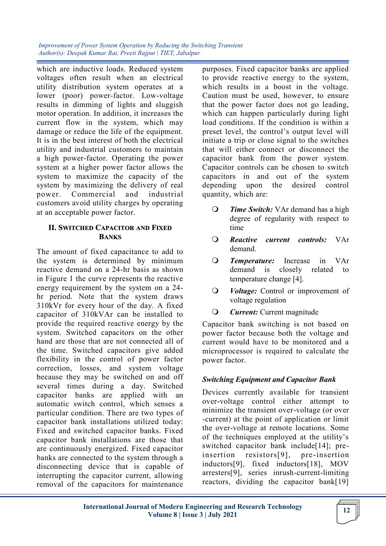which are inductive loads. Reduced system voltages often result when an electrical utility distribution system operates at a lower (poor) power-factor. Low-voltage results in dimming of lights and sluggish motor operation. In addition, it increases the current flow in the system, which may damage or reduce the life of the equipment. It is in the best interest of both the electrical utility and industrial customers to maintain a high power-factor. Operating the power system at a higher power factor allows the system to maximize the capacity of the system by maximizing the delivery of real power. Commercial and industrial customers avoid utility charges by operating at an acceptable power factor.

### **II. SWITCHED CAPACITOR AND FIXED BANKS**

The amount of fixed capacitance to add to the system is determined by minimum reactive demand on a 24-hr basis as shown in Figure 1 the curve represents the reactive energy requirement by the system on a 24 hr period. Note that the system draws 310kVr for every hour of the day. A fixed capacitor of 310kVAr can be installed to provide the required reactive energy by the system. Switched capacitors on the other hand are those that are not connected all of the time. Switched capacitors give added flexibility in the control of power factor correction, losses, and system voltage because they may be switched on and off several times during a day. Switched capacitor banks are applied with an automatic switch control, which senses a particular condition. There are two types of capacitor bank installations utilized today: Fixed and switched capacitor banks. Fixed capacitor bank installations are those that are continuously energized. Fixed capacitor banks are connected to the system through a disconnecting device that is capable of interrupting the capacitor current, allowing removal of the capacitors for maintenance

purposes. Fixed capacitor banks are applied to provide reactive energy to the system, which results in a boost in the voltage. Caution must be used, however, to ensure that the power factor does not go leading, which can happen particularly during light load conditions. If the condition is within a preset level, the control's output level will initiate a trip or close signal to the switches that will either connect or disconnect the capacitor bank from the power system. Capacitor controls can be chosen to switch capacitors in and out of the system depending upon the desired control quantity, which are:

- *Time Switch:* VAr demand has a high degree of regularity with respect to time
- *Reactive current controls:* VAr demand.
- *Temperature:* Increase in VAr demand is closely related to temperature change [4].
- *Voltage:* Control or improvement of voltage regulation
- *Current:* Current magnitude

Capacitor bank switching is not based on power factor because both the voltage and current would have to be monitored and a microprocessor is required to calculate the power factor.

# *Switching Equipment and Capacitor Bank*

Devices currently available for transient over-voltage control either attempt to minimize the transient over-voltage (or over -current) at the point of application or limit the over-voltage at remote locations. Some of the techniques employed at the utility's switched capacitor bank include<sup>[14]</sup>; preinsertion resistors[9], pre -insertion inductors[9], fixed inductors[18], MOV arresters[9], series inrush-current-limiting reactors, dividing the capacitor bank[19]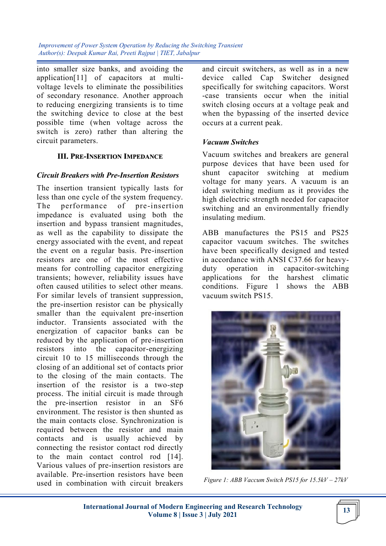into smaller size banks, and avoiding the application[11] of capacitors at multivoltage levels to eliminate the possibilities of secondary resonance. Another approach to reducing energizing transients is to time the switching device to close at the best possible time (when voltage across the switch is zero) rather than altering the circuit parameters.

### **III. PRE-INSERTION IMPEDANCE**

#### *Circuit Breakers with Pre-Insertion Resistors*

The insertion transient typically lasts for less than one cycle of the system frequency. The performance of pre-insertion impedance is evaluated using both the insertion and bypass transient magnitudes, as well as the capability to dissipate the energy associated with the event, and repeat the event on a regular basis. Pre-insertion resistors are one of the most effective means for controlling capacitor energizing transients; however, reliability issues have often caused utilities to select other means. For similar levels of transient suppression, the pre-insertion resistor can be physically smaller than the equivalent pre-insertion inductor. Transients associated with the energization of capacitor banks can be reduced by the application of pre-insertion resistors into the capacitor-energizing circuit 10 to 15 milliseconds through the closing of an additional set of contacts prior to the closing of the main contacts. The insertion of the resistor is a two-step process. The initial circuit is made through the pre-insertion resistor in an SF6 environment. The resistor is then shunted as the main contacts close. Synchronization is required between the resistor and main contacts and is usually achieved by connecting the resistor contact rod directly to the main contact control rod [14]. Various values of pre-insertion resistors are available. Pre-insertion resistors have been used in combination with circuit breakers

and circuit switchers, as well as in a new device called Cap Switcher designed specifically for switching capacitors. Worst -case transients occur when the initial switch closing occurs at a voltage peak and when the bypassing of the inserted device occurs at a current peak.

### *Vacuum Switches*

Vacuum switches and breakers are general purpose devices that have been used for shunt capacitor switching at medium voltage for many years. A vacuum is an ideal switching medium as it provides the high dielectric strength needed for capacitor switching and an environmentally friendly insulating medium.

ABB manufactures the PS15 and PS25 capacitor vacuum switches. The switches have been specifically designed and tested in accordance with ANSI C37.66 for heavyduty operation in capacitor-switching applications for the harshest climatic conditions. Figure 1 shows the ABB vacuum switch PS15.



*Figure 1: ABB Vaccum Switch PS15 for 15.5kV – 27kV*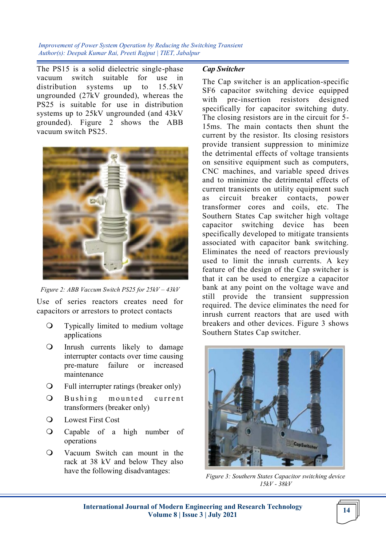The PS15 is a solid dielectric single-phase vacuum switch suitable for use in distribution systems up to 15.5kV ungrounded (27kV grounded), whereas the PS25 is suitable for use in distribution systems up to 25kV ungrounded (and 43kV grounded). Figure 2 shows the ABB vacuum switch PS25.



*Figure 2: ABB Vaccum Switch PS25 for 25kV – 43kV*

Use of series reactors creates need for capacitors or arrestors to protect contacts

- Typically limited to medium voltage applications
- Inrush currents likely to damage interrupter contacts over time causing pre-mature failure or increased maintenance
- Full interrupter ratings (breaker only)
- O Bushing mounted current transformers (breaker only)
- Lowest First Cost
- Capable of a high number of operations
- Vacuum Switch can mount in the rack at 38 kV and below They also have the following disadvantages:

#### *Cap Switcher*

The Cap switcher is an application-specific SF6 capacitor switching device equipped with pre-insertion resistors designed specifically for capacitor switching duty. The closing resistors are in the circuit for 5- 15ms. The main contacts then shunt the current by the resistor. Its closing resistors provide transient suppression to minimize the detrimental effects of voltage transients on sensitive equipment such as computers, CNC machines, and variable speed drives and to minimize the detrimental effects of current transients on utility equipment such as circuit breaker contacts, power transformer cores and coils, etc. The Southern States Cap switcher high voltage capacitor switching device has been specifically developed to mitigate transients associated with capacitor bank switching. Eliminates the need of reactors previously used to limit the inrush currents. A key feature of the design of the Cap switcher is that it can be used to energize a capacitor bank at any point on the voltage wave and still provide the transient suppression required. The device eliminates the need for inrush current reactors that are used with breakers and other devices. Figure 3 shows Southern States Cap switcher.



*Figure 3: Southern States Capacitor switching device 15kV - 38kV*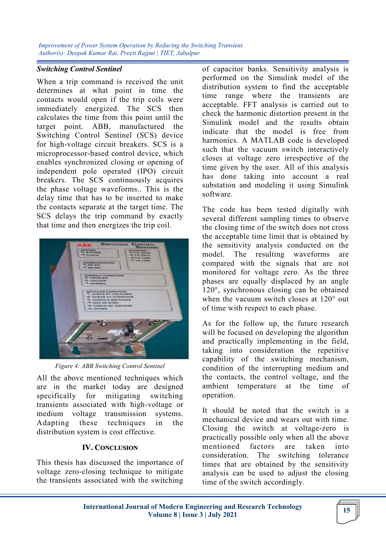### *Switching Control Sentinel*

When a trip command is received the unit determines at what point in time the contacts would open if the trip coils were immediately energized. The SCS then calculates the time from this point until the target point. ABB, manufactured the Switching Control Sentinel (SCS) device for high-voltage circuit breakers. SCS is a microprocessor-based control device, which enables synchronized closing or opening of independent pole operated (IPO) circuit breakers. The SCS continuously acquires the phase voltage waveforms.. This is the delay time that has to be inserted to make the contacts separate at the target time. The SCS delays the trip command by exactly that time and then energizes the trip coil.



*Figure 4: ABB Switching Control Sentinel*

All the above mentioned techniques which are in the market today are designed specifically for mitigating switching transients associated with high-voltage or medium voltage transmission systems. Adapting these techniques in the distribution system is cost effective.

# **IV. CONCLUSION**

This thesis has discussed the importance of voltage zero-closing technique to mitigate the transients associated with the switching of capacitor banks. Sensitivity analysis is performed on the Simulink model of the distribution system to find the acceptable time range where the transients are acceptable. FFT analysis is carried out to check the harmonic distortion present in the Simulink model and the results obtain indicate that the model is free from harmonics. A MATLAB code is developed such that the vacuum switch interactively closes at voltage zero irrespective of the time given by the user. All of this analysis has done taking into account a real substation and modeling it using Simulink software.

The code has been tested digitally with several different sampling times to observe the closing time of the switch does not cross the acceptable time limit that is obtained by the sensitivity analysis conducted on the model. The resulting waveforms are compared with the signals that are not monitored for voltage zero. As the three phases are equally displaced by an angle 120°, synchronous closing can be obtained when the vacuum switch closes at 120° out of time with respect to each phase.

As for the follow up, the future research will be focused on developing the algorithm and practically implementing in the field, taking into consideration the repetitive capability of the switching mechanism, condition of the interrupting medium and the contacts, the control voltage, and the ambient temperature at the time of operation.

It should be noted that the switch is a mechanical device and wears out with time. Closing the switch at voltage-zero is practically possible only when all the above mentioned factors are taken into consideration. The switching tolerance times that are obtained by the sensitivity analysis can be used to adjust the closing time of the switch accordingly.